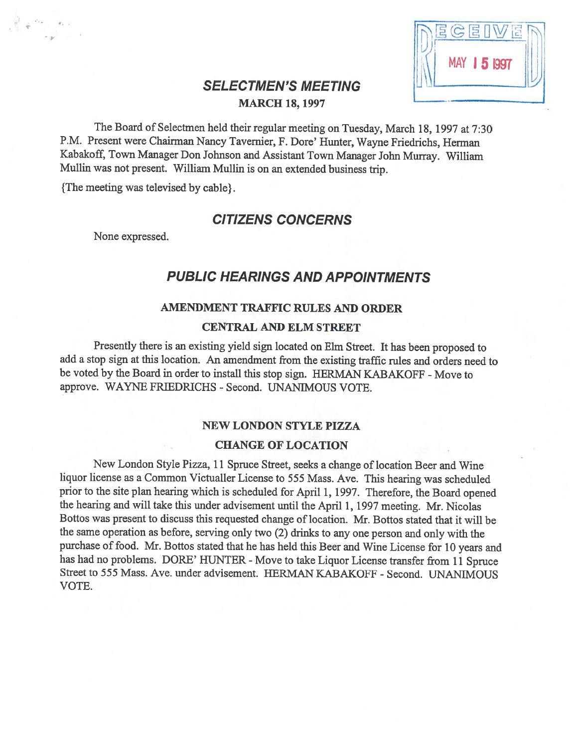| 圓<br>L                |  |
|-----------------------|--|
| <b>MAY</b><br>15 1997 |  |
|                       |  |

# **SELECTMEN'S MEETING** MARCH 18, 1997

The Board of Selectmen held their regular meeting on Tuesday, March 18, <sup>1997</sup> at 7:30 P.M. Present were Chairman Nancy Tavemier, F. Dore' Hunter, Wayne Friedrichs, Herman Kabakoff, Town Manager Don Johnson and Assistant Town Manager John Murray. William Mullin was not present. William Mullin is on an extended business trip.

{The meeting was televised by cable}.

## CITIZENS CONCERNS

None expressed.

# PUBLIC HEARINGS AND APPOINTMENTS

### AMENDMENT TRAFFIC RULES AND ORDER

#### CENTRAL AND ELM STREET

Presently there is an existing <sup>y</sup>ield sign located on Elm Street. It has been proposed to add <sup>a</sup> stop sign at this location. An amendment from the existing traffic rules and orders need to be voted by the Board in order to install this stop sign. HERMAN KABAKOFF - Move to approve. WAYNE FRIEDRICHS - Second. UNANIMOUS VOTE.

#### NEW LONDON STYLE PIZZA

#### CHANGE OF LOCATION

New London Style Pizza, <sup>11</sup> Spruce Street, seeks <sup>a</sup> change of location Beer and Wine liquor license as <sup>a</sup> Common Victualler License to <sup>555</sup> Mass. Ave. This hearing was scheduled prior to the site <sup>p</sup>lan hearing which is scheduled for April 1, 1997. Therefore, the Board opened the hearing and will take this under advisement until the April 1, <sup>1997</sup> meeting. Mr. Nicolas Bottos was present to discuss this requested change of location. Mr. Bottos stated that it will be the same operation as before, serving only two (2) drinks to any one person and only with the purchase of food. Mr. Bottos stated that he has held this Beer and Wine License for <sup>10</sup> years and has had no problems. DORE' HUNTER - Move to take Liquor License transfer from 11 Spruce Street to 555 Mass. Ave. under advisement. HERMAN KABAKOFF - Second. UNANIMOUS VOTE.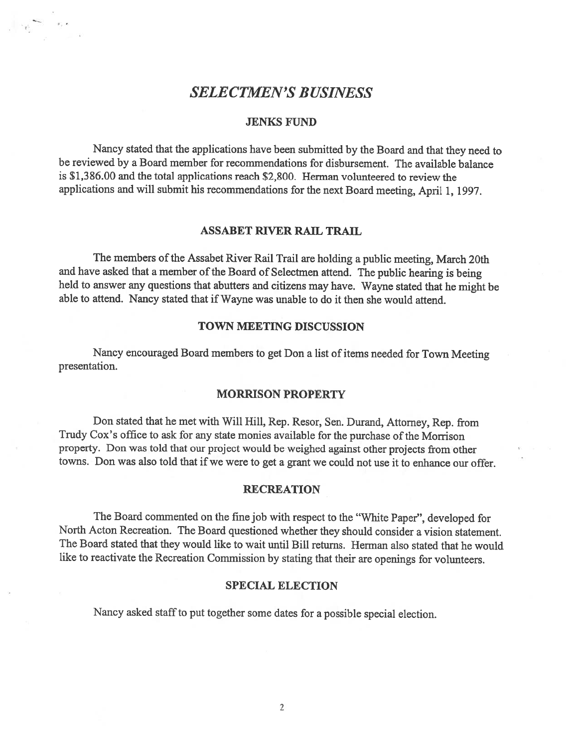# SELECTMEN'S BUSINESS

#### JENKS FUND

Nancy stated that the applications have been submitted by the Board and that they need to be reviewed by <sup>a</sup> Board member for recommendations for disbursement. The available balance is \$1,386.00 and the total applications reach \$2,800. Herman volunteered to review the applications and will submit his recommendations for the next Board meeting, April 1, 1997.

#### ASSABET RIVER RAIL TRAIL

The members of the Assabet River Rail Trail are holding a public meeting, March 20th and have asked that <sup>a</sup> member of the Board of Selectmen attend. The public hearing is being held to answer any questions that abutters and citizens may have. Wayne stated that he might be able to attend. Nancy stated that if Wayne was unable to do it then she would attend.

#### TOWN MEETING DISCUSSION

Nancy encourage<sup>d</sup> Board members to ge<sup>t</sup> Don <sup>a</sup> list of items needed for Town Meeting presentation.

#### MORRISON PROPERTY

Don stated that he met with Will Hill, Rep. Resor, Sen. Durand, Attorney, Rep. from Trudy Cox's office to ask for any state monies available for the purchase of the Morrison property. Don was told that our project would be weighed against other projects from other towns. Don was also told that if we were to ge<sup>t</sup> <sup>a</sup> gran<sup>t</sup> we could not use it to enhance our offer.

#### **RECREATION**

The Board commented on the fine job with respec<sup>t</sup> to the "White Paper", developed for North Acton Recreation. The Board questioned whether they should consider <sup>a</sup> vision statement. The Board stated that they would like to wait until Bill returns. Herman also stated that he would like to reactivate the Recreation Commission by stating that their are openings for volunteers.

#### SPECIAL ELECTION

Nancy asked staff to pu<sup>t</sup> together some dates for <sup>a</sup> possible special election.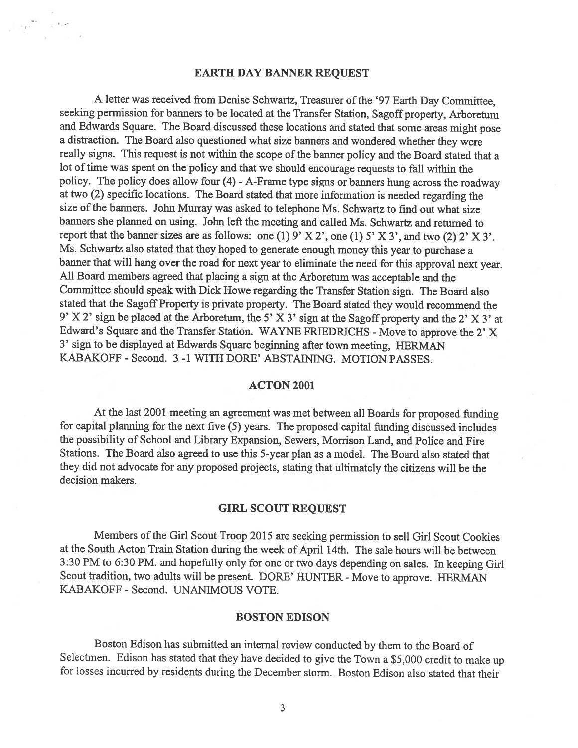#### EARTH DAY BANNER REQUEST

<sup>A</sup> letter was received from Denise Schwartz, Treasurer of the '97 Earth Day Committee, seeking permission for banners to be located at the Transfer Station, Sagoff property, Arboretum and Edwards Square. The Board discussed these locations and stated that some areas might pose <sup>a</sup> distraction. The Board also questioned what size banners and wondered whether they were really signs. This request is not within the scope of the banner policy and the Board stated that a lot of time was spent on the policy and that we should encourage requests to fall within the policy. The policy does allow four (4) - A-Frame type signs or banners hung across the roadway at two (2) specific locations. The Board stated that more information is needed regarding the size of the banners. John Murray was asked to telephone Ms. Schwartz to find out what size banners she <sup>p</sup>lanned on using. John lefi the meeting and called Ms. Schwartz and returned to report that the banner sizes are as follows: one (1)  $9'$  X 2', one (1)  $5'$  X 3', and two (2)  $2'$  X 3'. Ms. Schwartz also stated that they hoped to generate enoug<sup>h</sup> money this year to purchase <sup>a</sup> banner that will hang over the road for next year to eliminate the need for this approval next year. All Board members agreed that <sup>p</sup>lacing <sup>a</sup> sign at the Arboretum was acceptable and the Committee should speak with Dick Howe regarding the Transfer Station sign. The Board also stated that the Sagoff Property is private property. The Board stated they would recommend the 9' <sup>X</sup> 2' sign be <sup>p</sup>laced at the Arboretum, the 5' <sup>X</sup> 3' sign at the Sagoff property and the 2' <sup>X</sup> 3' at Edward's Square and the Transfer Station. WAYNE FRIEDRICHS - Move to approve the 2' X 3' sign to be displayed at Edwards Square beginning afier town meeting, HERMAN KABAKOFF - Second. 3 -1 WITH DORE' ABSTAINING. MOTION PASSES.

#### ACTON 2001

At the last <sup>2001</sup> meeting an agreement was met between all Boards for proposed funding for capital <sup>p</sup>lanning for the next five (5) years. The proposed capital funding discussed includes the possibility of School and Library Expansion, Sewers, Morrison Land, and Police and Fire Stations. The Board also agreed to use this 5-year <sup>p</sup>lan as <sup>a</sup> model. The Board also stated that they did not advocate for any proposed projects, stating that ultimately the citizens will be the decision makers.

#### GIRL SCOUT REQUEST

Members of the Girl Scout Troop 2015 are seeking permission to sell Girl Scout Cookies at the South Acton Train Station during the week of April 14th. The sale hours will be between 3:30 PM to 6:30 PM. and hopefully only for one or two days depending on sales. In keeping Girl Scout tradition, two adults will be present. DORE' HUNTER - Move to approve. HERMAN KABAKOFF - Second. UNANIMOUS VOTE.

#### BOSTON EDISON

Boston Edison has submitted an internal review conducted by them to the Board of Selectmen. Edison has stated that they have decided to <sup>g</sup>ive the Town <sup>a</sup> \$5,000 credit to make up for losses incurred by residents during the December storm. Boston Edison also stated that their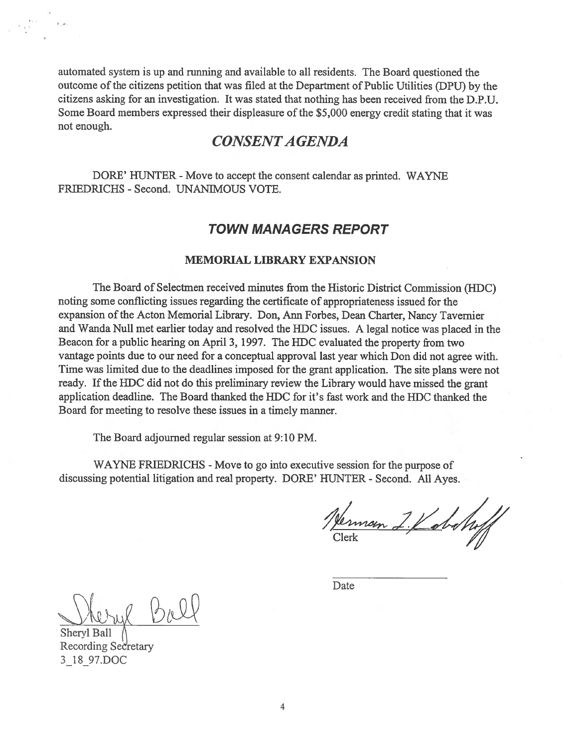automated system is up and running and available to all residents. The Board questioned the outcome of the citizens petition that was filed at the Department of Public Utilities (DPU) by the citizens asking for an investigation. It was stated that nothing has been received from the D.P.U. Some Board members expressed their displeasure of the \$5,000 energy credit stating that it was not enough.

# CONSENTA GENDA

DORE' HUNTER - Move to accept the consent calendar as printed. WAYNE FRIEDRICHS - Second. UNANIMOUS VOTE.

# TOWN MANAGERS REPORT

#### MEMORIAL LIBRARY EXPANSION

The Board of Selectmen received minutes from the Historic District Commission (HDC) noting some conflicting issues regarding the certificate of appropriateness issued for the expansion of the Acton Memorial Library. Don, Ann Forbes, Dean Charter, Nancy Tavemier and Wanda Null met earlier today and resolved the HDC issues. <sup>A</sup> legal notice was <sup>p</sup>laced in the Beacon for <sup>a</sup> public hearing on April 3, 1997. The HDC evaluated the property from two vantage points due to our need for <sup>a</sup> conceptual approval last year which Don did not agree with. Time was limited due to the deadlines imposed for the gran<sup>t</sup> application. The site plans were not ready. If the HDC did not do this preliminary review the Library would have missed the grant application deadline. The Board thanked the HDC for it's fast work and the HDC thanked the Board for meeting to resolve these issues in <sup>a</sup> timely manner.

The Board adjourned regular session at 9:10 PM.

WAYNE FRIEDRICHS - Move to go into executive session for the purpose of discussing potential litigation and real property. DORE' HUNTER - Second. All Ayes.

Verman 2. Kabahrff

Date

Sheryl Ball Recording Sedretary 31 8\_97.DOC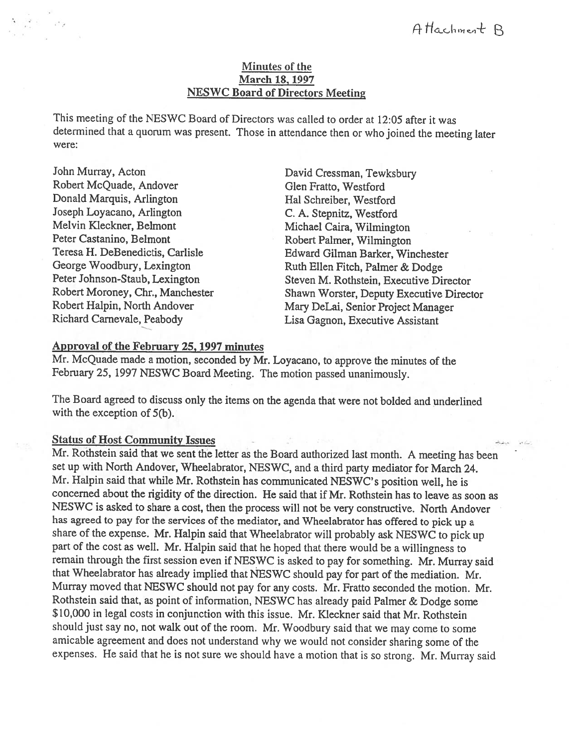### Minutes of the March 18, 1997 NESWC Board of Directors Meeting

This meeting of the NESWC Board of Directors was called to order at 12:05 after it was determined that <sup>a</sup> quorum was present. Those in attendance then or who joined the meeting later were:

John Murray, Acton Robert McQuade, Andover Donald Marquis, Arlington Joseph Loyacano, Arlington Melvin Kieckner, Belmont Peter Castanino, Belmont Teresa H. DeBenedictis, Carlisle George Woodbury, Lexington Peter Johnson-Staub, Lexington Robert Moroney, Chr., Manchester Robert Halpin, North Andover Richard Carnevale, Peabody

David Cressman, Tewksbury Glen Fratto, Westford Hal Schreiber, Westford C. A. Stepnitz, Westford Michael Caira, Wilmington Robert Palmer, Wilmington Edward Gilman Barker, Winchester Ruth Ellen Fitch, Palmer & Dodge Steven M. Rothstein, Executive Director Shawn Worster, Deputy Executive Director Mary DeLai, Senior Project Manager Lisa Gagnon, Executive Assistant

### Approval of the February 25,1997 minutes

Mr. McQuade made <sup>a</sup> motion, seconded by Mr. Loyacano, to approve the minutes of the February 25, 1997 NESWC Board Meeting. The motion passed unanimously.

The Board agreed to discuss only the items on the agenda that were not bolded and underlined with the exception of 5(b).

### Status of Host Community Issues -

Mr. Rothstein said that we sent the letter as the Board authorized last month. A meeting has been set up with North Andover, Wheelabrator, NESWC, and a third party mediator for March 24. Mr. Halpin said that while Mr. Rothstein has communicated NE\$WC's position well, he is concerned about the rigidity of the direction. He said that if Mr. Rothstein has to leave as soon as NESWC is asked to share <sup>a</sup> cost, then the process will not be very constructive. North Andover has agreed to pay for the services of the mediator, and Wheelabrator has offered to <sup>p</sup>ick up a share of the expense. Mr. Halpin said that Wheelabrator will probably ask NESWC to <sup>p</sup>ick up part of the cost as well. Mr. Halpin said that he hoped that there would be <sup>a</sup> willingness to remain through the first session even if NESWC is asked to pay for something. Mr. Murray said that Wheelabrator has already implied that NESWC should pay for part of the mediation. Mr. Murray moved that NESWC should not pay for any costs. Mr. Fratto seconded the motion. Mr. Rothstein said that, as point of information, NESWC has already paid Palmer & Dodge some \$10,000 in legal costs in conjunction with this issue. Mr. Kieckner said that Mr. Rothstein should just say no, not walk out of the room. Mr. Woodbury said that we may come to some amicable agreement and does not understand why we would not consider sharing some of the expenses. He said that he is not sure we should have <sup>a</sup> motion that is so strong. Mr. Murray said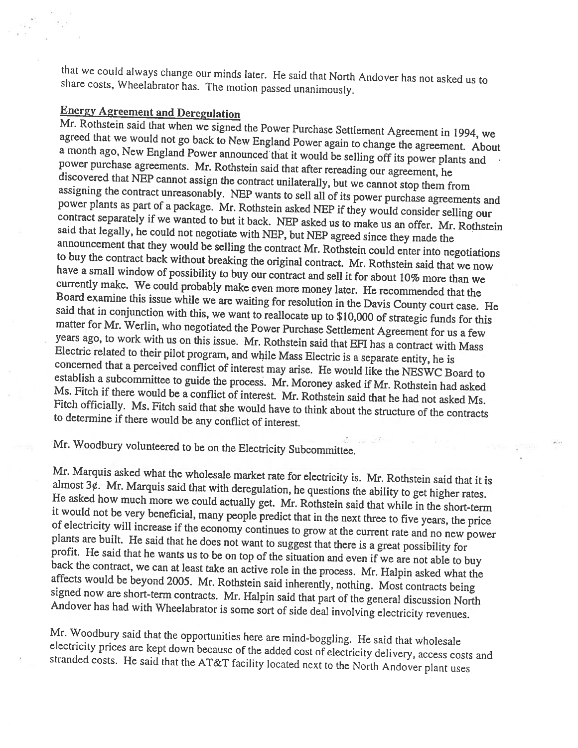that we could always change our minds later. He said that North Andover has not asked us to share costs, Wheetabrator has. The motion passed unanimously.

Energy Agreement and Deregulation<br>Mr. Rothstein said that when we signed the Power Purchase Settlement Agreement in 1994, we agreed Rothstein said that when we signed the Power Purchase Settlement Agreement in 1994, we<br>ed that we would not go back to New England Power again to change the agreement. About a month ago, New England Power announced that it would be selling off its power plants and power purchase agreements. Mr. Rothstein said that after rereading our agreement, he discovered that NEP cannot assign the contract assigning discovered that NEP cannot assign the contract unilaterally, but we cannot stop them from<br>assigning the contract unreasonably. NEP wants to sell all of its power purchase agreements and<br>power plants as part of a package. M power plants as part of a package. Mr. Rothstein asked NEP if they would consider selling our contract separately if we wanted to but it back. NEP asked us to make us an offer. Mr. Rothstein said that legally, he could not have a small window of possibility to buy our contract and sell it for about 10% more than we to buy the contract back without breaking the original contract. Mr. Rothstein said that we now currently make. We could probably make even more money later. He recommended that the Board examine this issue while we are waiting for resolution in the Davis County court case. He said that in conjunction with this, we w matter said that in conjunction with this, we want to reallocate up to \$10,000 of strategic funds for this matter for Mr. Werlin, who negotiated the Power Purchase Settlement Agreement for us a few years ago, to work with us on this issue. Mr. Rothstein said that EFI has a contract with Mass Electric related to their pilot program, and while Mass Electric is a separate entity, he is concerned that a perceived conflict of interest may arise. He would like the NESWC Board to Ms. Fitch if there would be a conflict of interest. Mr. Rothstein said that he had not asked Ms. establish a subcommittee to guide the process. Mr. Moroney asked if Mr. Rothstein had asked<br>Ms. Fitch if there would be a conflict of interest. Mr. Rothstein said that he had a sked Fitch officially. Ms. Fitch said that she would have to think about the structure of the contracts to determine if there would be any conflict of interest.

Mr. Woodbury volunteered to be on the Electricity Subcommittee.

Mr. Marquis asked what the wholesale market rate for electricity is. Mr. Rothstein said that it is almost  $3\phi$ . Mr. Marquis said that with deregulation, he questions the ability to get higher rates. He asked how much more we could actually get. Mr. Rothstein said that while in the short-term it would not be very beneficial, many people predict that in the next three to five years, the price<br>of electricity will increase if the economy continues to grow at the current rate and no new power<br>plants are built. He s

Mr. Woodbury said that the opportunities here are mind-boggling. He said that wholesale<br>electricity prices are kept down because of the added cost of electricity delivery, access costs and<br>stranded costs. He said that the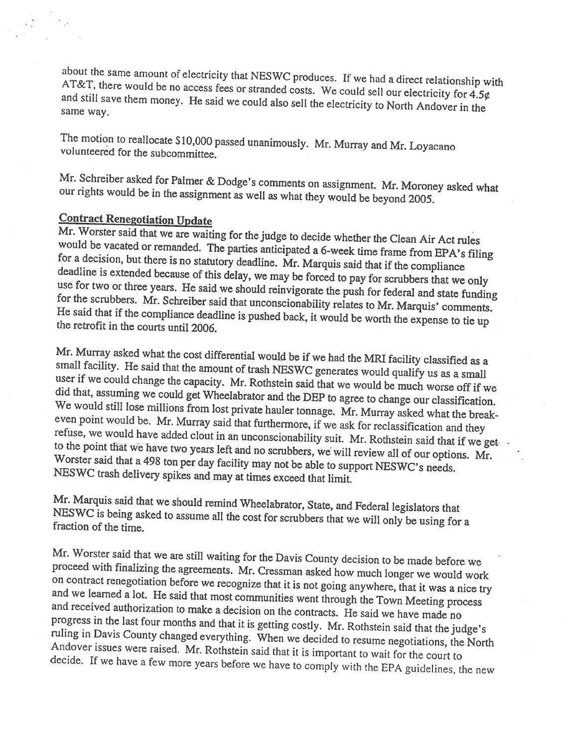AT&T, about the same amount of electricity that NESWC produces. If we had <sup>a</sup> direct relationship with and still and still save them money. He said we could also sell the electricity to North Andover in the same way.

The motion to reallocate \$10,000 passed unanimously. Mr. Murray and Mr. Loyacano volunteered for the subcommittee.

Mr. Schreiber asked for Palmer & Dodge's comments on assignment. Mr. Moroney asked what our rights would be in the assignment as well as what they would be beyond 2005.

# Contract Renegotiation Update

would be vacated or remanded. The parties anticipated a 6-week time frame from EPA's filing<br>for a decision but there is no statutory dealling. M. M. M. West in the frame from EPA's filing Mr. Worster said that we are waiting for the judge to decide whether the Clean Air Act rules would be vacated or remanded. The parties anticipated a 6-week time frame from EPA's filist for a decision, but there is no statu deadline is extended because of this delay, we may be forced to pay for scrubbers that we only use for two or three years. He said we should reinvigorate the push for federal and state funding for the scrubbers. Mr. Schrei

Mr. Murray asked what the cost differential would be if we had the MRI facility classified as a small facility. He said that the amount of trash NESWC generates would qualify us as a small user if we could change the capacity. Mr. Rothstein said that we would be much worse off if we did that, assuming we could get Wheelabrator and the DEP to agree to change our classification. We did that, assuming we could get Wheelabrator and the DEP to agree to change our classification.<br>We would still lose millions from lost private hauler tonnage. Mr. Murray asked what the break-<br>even point would be. Mr. Murra Worster said that a 498 ton per day facility may not be able to support NESWC's needs.<br>NESWC trash delivery spikes and may at times exceed that limit. refuse, we would have added clout in an unconscionability suit. Mr. Rothstein said that if we get to the point that we have two years left and no scrubbers, we will review all of our options. Mr.

Mr. Marquis said that we should remind Wheelabrator, State, and Federal legislators that<br>NESWC is being asked to assume all the cost for scrubbers that we will only be using for a<br>fraction of the time.

Mr. Worster said that we are still waiting for the Davis County decision to be made before we<br>proceed with finalizing the agreements. Mr. Cressman asked how much longer we would work<br>on contract renegotiation before we rec and we learned a lot. He said that most communities went through the Town Meeting process and received authorization to make a decision on the contracts. He said we have made no<br>progress in the last four months and that it is getting costly. Mr. Rothstein said that the judge's<br>ruling in Davis County changed eve Andover ruling in Davis County changed everything. When we decided to resume negotiations, the North Andover issues were raised. Mr. Rothstein said that it is important to wait for the court to decide. If we have a few more vears decide. If we have a few more years before we have to comply with the EPA guidelines, the new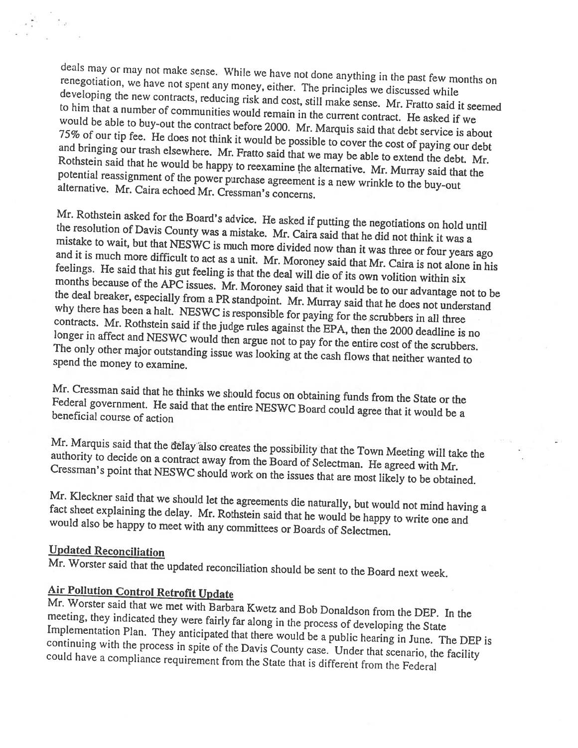deals may or may not make sense. While we have not done anything in the past few months on<br>renegotiation, we have not spant arrupe renegotiation, we have not spent any money, either. The principles we discussed while developing developing the new contracts, reducing risk and cost, still make sense. Mr. Fratto said it seemed<br>to him that a number of communities would remain in the would be to him that a number of communities would remain in the current contract. He asked if we would be able to buy-out the contract before 2000. Mr. Marquis said that debt service is about<br>75% of our tip fee. He does not think it would be a wide to the did that debt service is about and bringing our tip fee. He does not think it would be possible to cover the cost of paying our debt and bringing our trash elsewhere. Mr. Fratto said that we may be able to extend the debt. Mr.<br>Rothstein said that he would be happy to group is it. potential Rothstein said that he would be happy to reexamine the alternative. Mr. Murray said that the potential reassignment of the power purchase agreement is a new wrinkle to the buy-out alternative. Mr. Caira echoed Mr. Cressman a new wrinkle to the buy-out purchase agreement is a new wrinkle to the buy-out alternative. Mr. Caira echoed Mr. Cressman's concerns.

Mr. Rothstein asked for the Board's advice. He asked if putting the negotiations on hold until mistake to wait, but that NESWC is much more divided now than it was three or four years ago<br>and it is much more difficult to act as a unit. Mr. M. the resolution of Davis County was <sup>a</sup> mistake. Mr. Caira said that he did not think it was a and it is much more difficult to act as a unit. Mr. Moroney said that Mr. Caira is not alone in his feelings. He said that his gut feeling is that the deal will die of its own volition within six months the deal because of the APC issues. Mr. Moroney said that it would be to our advantage not to be<br>breaker, especially from a NP of a number of the would be to our advantage not to be the deal breaker, especially from a PR standpoint. Mr. Murray said that he does not understand<br>why there has been a halt. NESWC is responsible for pering found in the does not understand contracts. Mr. Rothstein said if the judge rules against the EPA, then the 2000 deadline is no there has been a halt. NESWC is responsible for paying for the scrubbers in all three<br>acts. Mr. Bothetein will is in the scrubbers in all three longer in longer in affect and NESWC would then argue not to pay for the entire cost of the scrubbers. spend the money to examine. The only other major outstanding issue was looking at the cash flows that neither wanted to

Mr. Cressman said that he thinks we should focus on obtaining funds from the State or the<br>Federal government. He said that the entire NEGWC Development of the State or the rederal government. He said that the entire NESWC Board could agree that it would be a<br>beneficial course of action

authority to decide on Mr. Marquis said that the delay also creates the possibility that the Town Meeting will take the Cressman's decide on a contract away from the Board of Selectman. He agreed with Mr.<br>point that NESWC should work on the issues that are most likely to be obtained.

Mr. fact Kieckner Kleckner said that we should let the agreements die naturally, but would not mind having a<br>sheet explaining the delay. Mr. Bethatain said door die vieweld not mind having a would also be happy to meet with any committees or Boards of Selectmen. fact sheet explaining the delay. Mr. Rothstein said that he would be happy to write one and

# Updated Reconciliation

Mr. Worster said that the updated reconciliation should be sent to the Board next week.

# Air Pollution Control Retrofit Update

meeting, they indicated they were fairly far along in the process of developing the State Mr. Worster said that we met with Barbara Kwetz and Bob Donaldson from the DEP. In the continuing with Implementation Plan. They anticipated that there would be a public hearing in June. The DEP is could the process in spite of the Davis County case. Under that scenario, the facility have a compliance requirement from the State that is different from the Federal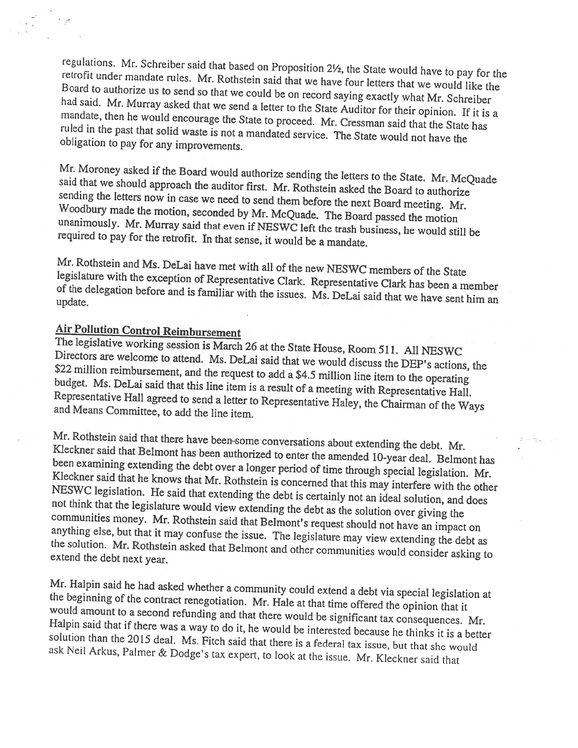retrofit under mandate rules. Mr. Rothstein said that we have four letters that we would like the<br>Board to authorize us to send as illustration said that we have four letters that we would like the regulations. Mr. Schreiber said that based on Proposition 2½, the State would have to pay for the<br>retrofit under mandate rules. Mr. Pethatrics, i.l.d. Board to Board to authorize us to send so that we could be on record saying exactly what Mr. Schreiber<br>had said. Mr. Murray asked that we can delive that is not a saying exactly what Mr. Schreiber mandate, then he would encourage the State to proceed. Mr. Cressman said that the State has said. Mr. Murray asked that we send a letter to the State Auditor for their opinion. If it is a ruled in the past that solid waste is not a mandated service. The State would not have the obligation to pay for any improvements. obligation to pay for any improvements.

Mr. Moroney asked if the Board would authorize sending the letters to the State. Mr. McQuade said that we should approach the auditor first. Mr. Rothstein asked the Board to authorize sending the letters now in case we nee Woodbury made the motion, seconded by Mr. McQuade. The Board passed the motion unanimously. Mr. Murray said that even if NESWC left the trash business, he would still be required to pay for the retrofit. In that sense, it would be a mandate.

Mr. Rothstein and Ms. DeLai have met with all of the new NESWC members of the State legislature with the exception of Representative Clark. Representative Clark has been a member<br>of the delegation before and is familiar with during the state of the delegation a member update. of the delegation before and is familiar with the issues. Ms. DeLai said that we have sent him an

Air Pollution Control Reimbursement<br>The legislative working session is March 26 at the State House, Room 511. All NESWC Directors are welcome to attend. Ms. DeLai said that we would discuss the DEP's actions, the \$22 million reimbursement, and the request to add a \$4.5 million line item to the operating early the method said that this line item is a result of a meeting with Representative Hall.<br>Representative Hall agreed to send a letter to Representative Haley, the Chairman of the W budget. Ms. DeLai said that this line item is a result of Representative Hall agreed to send a letter to Representative Haley, the Chairman of the Ways<br>and Means Committee, to add the line item.

Mr. Rothstein said that there have been-some conversations about extending the debt. Mr. Kleckner Kleckner said that Belmont has been authorized to enter the amended 10-year deal. Belmont has<br>been examining extending the dabt avera large in the file of the dal. Belmont has Kleckner examining extending the debt over a longer period of time through special legislation. Mr. NESWC NESWC legislation. He said that extending the debt is certainly not an ideal solution, and does not think that the legislature would view extending the debt as the solution over giving the communities money. Mr. Rothstein anything ties money. Mr. Rothstein said that Belmont's request should not have an impact on else, but that it may confuse the issue. The legislature may view extending the debt as the solution. Mr. Rothstein asked that Belmont and other communities would consider asking to extend the debt next year.

Mr. Halpin said he had asked whether <sup>a</sup> community could extend <sup>a</sup> debt via special legislation at the beginning of the contract renegotiation. Mr. Hale at that time offered the opinion that it<br>would amount to a second refunding and that the said it is that time offered the opinion that it Halpin would amount to a second refunding and that there would be significant tax consequences. Mr. would amount to a second refunding and that there would be significant tax consequences. Mr.<br>Halpin said that if there was a way to do it, he would be interested because he thinks it is a better<br>solution than the 2015 deal solution than the 2015 deal. Ms. Fitch said that there is a federal tax issue, but that she would ask Neil Arkus, Palmer & Dodge's tax expert, to look at the issue. Mr. Kleckner said that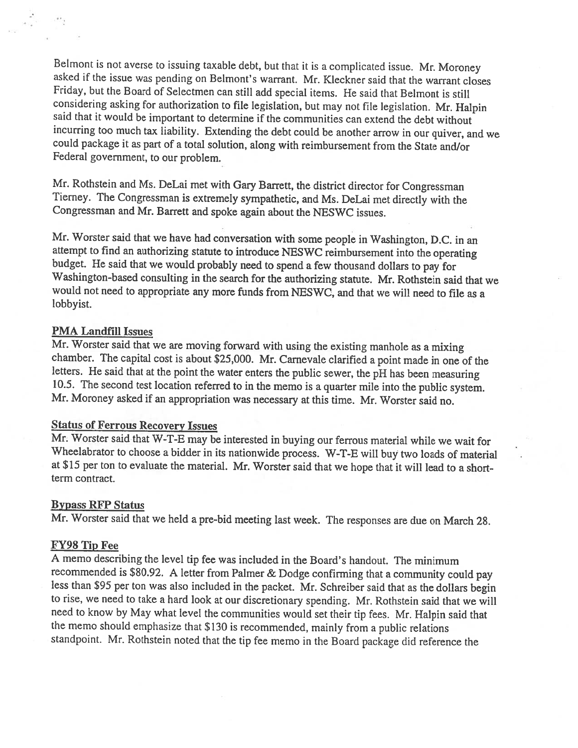Belmont is not averse to issuing taxable debt, but that it is <sup>a</sup> complicated issue. Mr. Moroney asked if the issue was pending on Belmont's warrant. Mr. Kieckner said that the warrant closes Friday, but the Board of Selectmen can still add special items. He said that Belmont is still considering asking for authorization to file legislation, but may not file legislation. Mr. Halpin said that it would be important to determine if the communities can extend the debt without incurring too much tax liabilit could package it as part of a total solution, along with reimbursement from the State and/or Federal government, to our problem.

Mr. Rothstein and Ms. DeLai met with Gary Barrett, the district director for Congressman Tierney. The Congressman is extremely sympathetic, and Ms. DeLai met directly with the Congressman and Mr. Barrett and spoke again about the NESWC issues.

Mr. Worster said that we have had conversation with some people in Washington, D.C. in an attempt to find an authorizing statute to introduce NESWC reimbursement into the operating budget. He said that we would probably need to spend a few thousand dollars to pay for Washington-based consulting in the search for the authorizing statute. Mr. Rothstein said that we would not need to appropriate any more funds from NESWC, and that we will need to file as <sup>a</sup> lobbyist.

#### PMA Landfill Issues

Mr. Worster said that we are moving forward with using the existing manhole as <sup>a</sup> mixing chamber. The capital cost is about \$25,000. Mr. Carnevale clarified a point made in one of the letters. He said that at the point the water enters the public sewer, the pH has been measuring 10.5. The second test location referred to in the memo is a quarter mile into the public system. Mr. Moroney asked if an appropriation was necessary at this time. Mr. Worster said no.

#### Status of Ferrous Recovery Issues

Mr. Worster said that W-T-E may be interested in buying our ferrous material while we wait for Wheelabrator to choose <sup>a</sup> bidder in its nationwide process. W-T-E will buy two loads of material at \$15 per ton to evaluate the material. Mr. Worster said that we hope that it will lead to <sup>a</sup> shortterm contract.

#### Bypass RFP Status

Mr. Worster said that we held <sup>a</sup> pre-bid meeting last week. The responses are due on March 28.

#### FY98 Tip Fee

<sup>A</sup> memo describing the level tip fee was included in the Board's handout. The minimum recommended is \$80.92. <sup>A</sup> letter from Palmer & Dodge confirming that <sup>a</sup> community could pay less than \$95 per ton was also included in the packet. Mr. Schreiber said that as the dollars begin to rise, we need to take <sup>a</sup> hard look at our discretionary spending. Mr. Rothstein said that we will need to know by May what level the communities would set their tip fees. Mr. Halpin said that the memo should emphasize that \$130 is recommended, mainly from <sup>a</sup> public relations standpoint. Mr. Rothstein noted that the tip fee memo in the Board package did reference the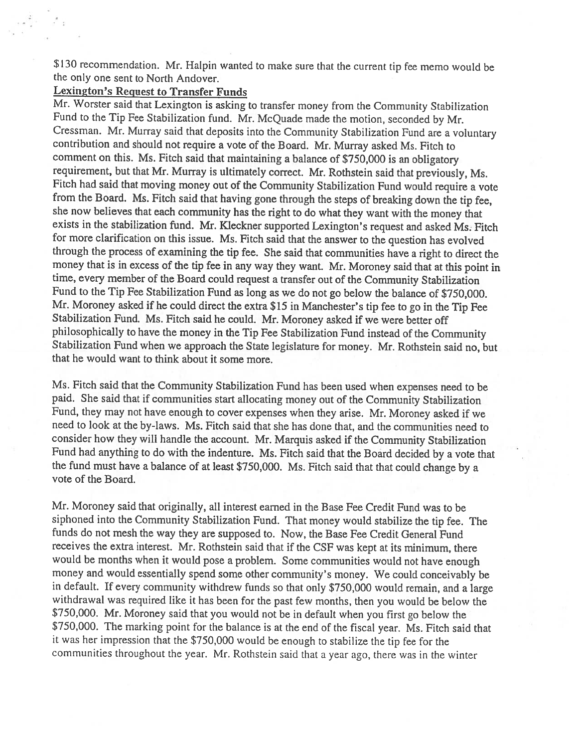\$ <sup>130</sup> recommendation. Mr. Halpin wanted to make sure that the current tip fee memo would be the only one sent to North Andover.

# Lexington's Request to Transfer Funds

Mr. Worster said that Lexington is asking to transfer money from the Community Stabilization Fund to the Tip fee Stabilization fund. Mr. McQuade made the motion, seconded by Mr. Cressman. Mr. Murray said that deposits into the Community Stabilization Fund are <sup>a</sup> voluntary contribution and should not require <sup>a</sup> vote of the Board. Mr. Murray asked Ms. Fitch to comment on this. Ms. Fitch said that maintaining <sup>a</sup> balance of \$750,000 is an obligatory requirement, but that Mr. Murray is ultimately correct. Mr. Rothstein said that previously, Ms. Fitch had said that moving money out of the Community Stabilization Fund would require <sup>a</sup> vote from the Board. Ms. Fitch said that having gone through the steps of breaking down the tip fee, she now believes that each community has the right to do what they want with the money that exists in the stabilization fund. Mr. Kleckner supported Lexington's request and asked Ms. Fitch for more clarification on this issue. Ms. Fitch said that the answer to the question has evolved through the process of examining the tip fee. She said that communities have <sup>a</sup> right to direct the money that is in excess of the tip fee in any way they want. Mr. Moroney said that at this point in time, every member of the Board could request <sup>a</sup> transfer out of the Community Stabilization Fund to the Tip Fee Stabilization Fund as long as we do not go below the balance of \$750,000. Mr. Moroney asked if he could direct the extra \$15 in Manchester's tip fee to go in the Tip Fee Stabilization Fund. Ms. Fitch said he could. Mr. Moroney asked if we were better off <sup>p</sup>hilosophically to have the money in the Tip Fee Stabilization Fund instead of the Community Stabilization Fund when we approach the State legislature for money. Mr. Rothstein said no, but that he would want to think about it some more.

Ms. Fitch said that the Community Stabilization Fund has been used when expenses need to be paid. She said that if communities start allocating money out of the Community Stabilization Fund, they may not have enoug<sup>h</sup> to cover expenses when they arise. Mr. Moroney asked if we need to look at the by-laws. Ms. Fitch said that she has done that, and the communities need to consider how they will handle the account. Mr. Marquis asked if the Community Stabilization fund had anything to do with the indenture. Ms. Fitch said that the Board decided by <sup>a</sup> vote that the fund must have <sup>a</sup> balance of at least \$750,000. Ms. Fitch said that that could change by a vote of the Board.

Mr. Moroney said that originally, all interest earned in the Base Fee Credit Fund was to be siphoned into the Community Stabilization Fund. That money would stabilize the tip fee. The funds do not mesh the way they are supposed to. Now, the Base fee Credit General Fund receives the extra interest. Mr. Rothstein said that if the CSF was kept at its minimum, there would be months when it would pose <sup>a</sup> problem. Some communities would not have enoug<sup>h</sup> money and would essentially spend some other community's money. We could conceivably be in default. If every community withdrew funds so that only \$750,000 would remain, and <sup>a</sup> large withdrawal was required like it has been for the past few months, then you would be below the \$750,000. Mr. Moroney said that you would not be in default when you first go below the \$750,000. The marking point for the balance is at the end of the fiscal year. Ms. Fitch said that it was her impression that the \$750,000 would be enoug<sup>h</sup> to stabilize the tip fee for the communities throughout the year. Mr. Rothstein said that <sup>a</sup> year ago, there was in the winter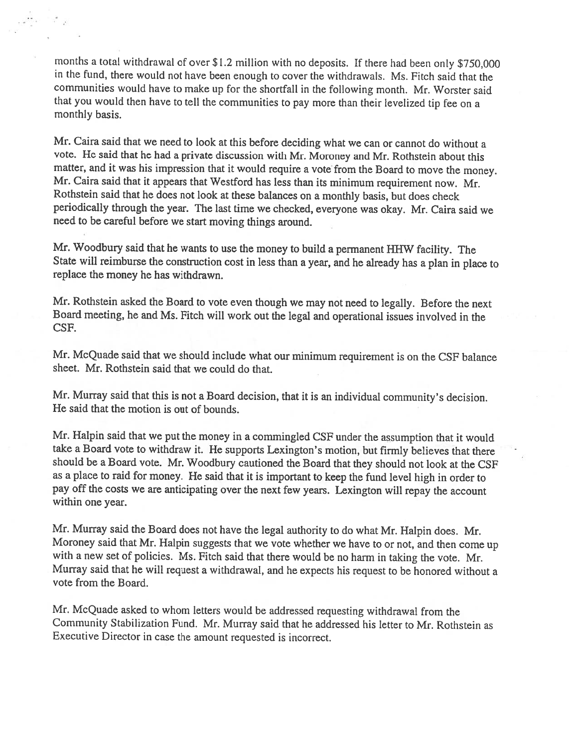months <sup>a</sup> total withdrawal of over \$1.2 million with no deposits. If there had been only \$750,000 in the fund, there would not have been enoug<sup>h</sup> to cover the withdrawals. Ms. Fitch said that the communities would have to make up for the shortfall in the following month. Mr. Worster said that you would then have to tell the communities to pay more than their levelized tip fee on <sup>a</sup> monthly basis.

Mr. Caira said that we need to look at this before deciding what we can or cannot do without <sup>a</sup> vote. He said that he had <sup>a</sup> private discussion with Mr. Moroney and Mr. Rothstein about this matter, and it was his impression that it would require <sup>a</sup> vote from the Board to move the money. Mr. Caira said that it appears that Westford has less than its minimum requirement now. Mr. Rothstein said that he does not look at these balances on <sup>a</sup> monthly basis, but does check periodically through the year. The last time we checked, everyone was okay. Mr. Caira said we need to be careful before we start moving things around.

Mr. Woodbury said that he wants to use the money to build <sup>a</sup> permanent 1111W facility. The State will reimburse the construction cost in less than <sup>a</sup> year, and he already has <sup>a</sup> <sup>p</sup>lan in <sup>p</sup>lace to replace the money he has withdrawn.

Mr. Rothstein asked the Board to vote even though we may not need to legally. Before the next Board meeting, he and Ms. Fitch will work out the legal and operational issues involved in the CSF.

Mr. McQuade said that we should include what our minimum requirement is on the CSF balance sheet. Mr. Rothstein said that we could do that.

Mr. Murray said that this is not <sup>a</sup> Board decision, that it is an individual community's decision. He said that the motion is out of bounds.

Mr. Halpin said that we put the money in <sup>a</sup> commingled CSF under the assumption that it would take <sup>a</sup> Board Vote to withdraw it. He supports Lexington's motion, but firmly believes that there should be <sup>a</sup> Board vote. Mr. Woodbury cautioned the Board that they should not look at the CSF as <sup>a</sup> <sup>p</sup>lace to raid for money. He said that it is important to keep the fund level high in order to pay off the costs we are anticipating over the next few years. Lexington will repay the account within one year.

Mr. Murray said the Board does not have the legal authority to do what Mr. Halpin does. Mr. Moroney said that Mr. Halpin suggests that we vote whether we have to or not, and then come up with a new set of policies. Ms. Fitch said that there would be no harm in taking the vote. Mr. Murray said that he will request <sup>a</sup> withdrawal, and he expects his request to be honored without <sup>a</sup> vote from the Board.

Mr. McQuade asked to whom letters would be addressed requesting withdrawal from the Community Stabilization Fund. Mr. Murray said that he addressed his letter to Mr. Rothstein as Executive Director in case the amount requested is incorrect.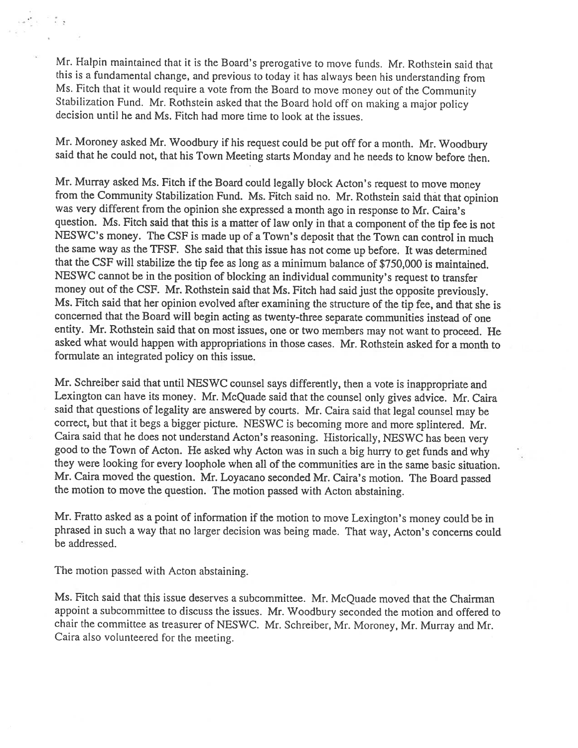Mr. Halpin maintained that it is the Board's prerogative to move funds. Mr. Rothstein said that this is <sup>a</sup> fundamental change, and previous to today it has always been his understanding from Ms. Fitch that it would require <sup>a</sup> vote from the Board to move money out of the Community Stabilization Fund. Mr. Rothstein asked that the Board hold off on making a major policy decision until he and Ms. Fitch had more time to look at the issues.

Mr. Moroney asked Mr. Woodbury if his request could be put off for <sup>a</sup> month. Mr. Woodbury said that he could not, that his Town Meeting starts Monday and he needs to know before then.

Mr. Murray asked Ms. Fitch if the Board could legally block Acton's request to move money from the Community Stabilization Fund. Ms. Fitch said no. Mr. Rothstein said that that opinion was very different from the opinion she expressed <sup>a</sup> month ago in response to Mr. Caira's question. Ms. Fitch said that this is <sup>a</sup> matter of law only in that <sup>a</sup> component of the tip fee is not NESWC's money. The CSF is made up of <sup>a</sup> Town's deposit that the Town can control in much the same way as the TFSF. She said that this issue has not come up before. It was determined that the CSF will stabilize the tip fee as long as <sup>a</sup> minimum balance of \$750,000 is maintained. NESWC cannot be in the position of blocking an individual community's request to transfer money out of the C\$F. Mr. Rothstein said that Ms. Fitch had said just the opposite previously. Ms. Fitch said that her opinion evolved after examining the structure of the tip fee, and that she is concerned that the Board will begin acting as twenty-three separate communities instead of one entity. Mr. Rothstein said that on most issues, one or two members may not want to proceed. He asked what would happen with appropriations in those cases. Mr. Rothstein asked for <sup>a</sup> month to formulate an integrated policy on this issue.

Mr. Schreiber said that until NESWC counsel says differently, then <sup>a</sup> vote is inappropriate and Lexington can have its money. Mr. McQuade said that the counsel only <sup>g</sup>ives advice. Mr. Caira said that questions of legality are answered by courts. Mr. Caira said that legal counsel may be correct, but that it begs <sup>a</sup> bigger <sup>p</sup>icture. NESWC is becoming more and more splintered. Mr. Caira said that he does not understand Acton's reasoning. Historically, NESWC has been very good to the Town of Acton. He asked why Acton was in such <sup>a</sup> big hurry to get funds and why they were looking for every loophole when all of the communities are in the same basic situation. Mr. Caira moved the question. Mr. Loyacano seconded Mr. Caira's motion. The Board passed the motion to move the question. The motion passed with Acton abstaining.

Mr. Fratto asked as <sup>a</sup> point of information if the motion to move Lexington's money could be in <sup>p</sup>hrased in such <sup>a</sup> way that no larger decision was being made. That way, Acton's concerns could be addressed.

The motion passed with Acton abstaining.

والأناب المعر

Ms. Fitch said that this issue deserves <sup>a</sup> subcommittee. Mr. McQuade moved that the Chairman appoint <sup>a</sup> subcommittee to discuss the issues. Mr. Woodbury seconded the motion and offered to chair the committee as treasurer of NESWC. Mr. Schreiber, Mr. Moroney, Mr. Murray and Mr. Caira also volunteered for the meeting.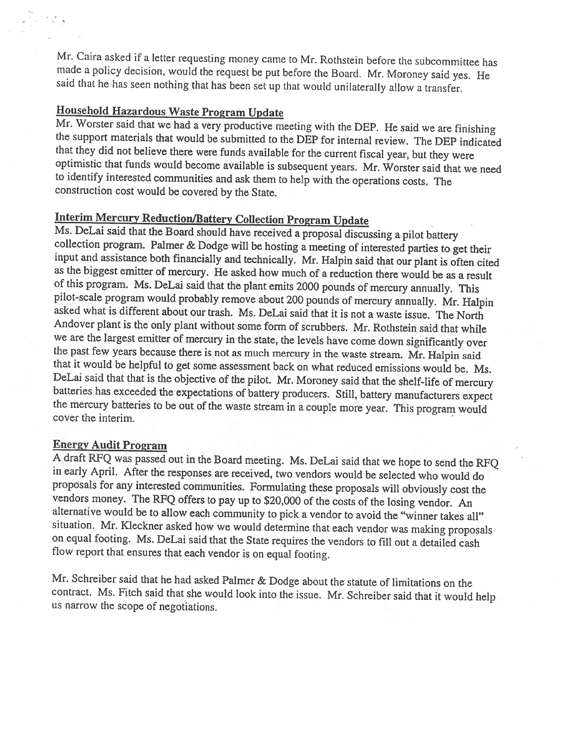Mr. Caira asked if a letter requesting money came to Mr. Rothstein before the subcommittee has made a policy decision, would the request be put before the Board. Mr. Moroney said yes. He said that he has seen nothing that

# Household Hazardous Waste Program Update

Mr. Worster said that we had a very productive meeting with the DEP. He said we are finishing the support materials that would be submitted to the DEP for internal review. The DEP indicated<br>that they did not believe there were funds available for the current fiscal year, but they were<br>optimistic that funds would be to identify interested communities and ask them to help with the operations costs. The construction cost would be covered by the State.

Interim Mercury Reduction/Battery Collection Program Update<br>Ms. DeLai said that the Board should have received a proposal discussing a pilot battery<br>collection program. Palmer & Dodge will be hosting a meeting of intereste input and assistance both financially and technically. Mr. Halpin said that our plant is often cited as the biggest emitter of mercury. He asked how much of <sup>a</sup> reduction there would be as of this program. Ms. DeLai said that the plant emits 2000 pounds of mercury annually. This pilot-scale program would probably remove about 200 pounds of mercury annually. Mr. Halpin asked what is different about our trash. Ms. DeLai said that it is not a waste issue. The North Andover plant is the only plant without some form of scrubbers. Mr. Rothstein said that while we are the largest emitter of mercury in the state, the levels have come down significantly over the past few years because there is not as much mercury in the waste stream. Mr. Halpin said<br>that it would be helpful to get some assessment back on what reduced emissions would be. Ms.<br>DeLai said that that is the objectiv batteries has exceeded the expectations of battery producers. Still, battery manufacturers expect the mercury batteries to be out of the waste stream in a couple more year. This program would cover the interim.

Energy Audit Program<br>A draft RFQ was passed out in the Board meeting. Ms. DeLai said that we hope to send the RFQ in early April. After the responses are received, two vendors would be selected who would do proposals for any interested communities. Formulating these proposals will obviously cost the vendors money. The RFQ offers to pay up to \$20,000 of the costs of the losing vendor. An alternative would be to allow each community to pick a vendor to avoid the "winner takes all" situation. Mr. Kleckner asked how we would determine that each vendor was making proposals on equal footing. Ms. DeLai said that the State requires the vendors to fill out <sup>a</sup> detailed cash flow report that ensures that each vendor is on equa<sup>l</sup> footing.

Mr. Schreiber said that he had asked Palmer & Dodge about the statute of limitations on the contract. Ms. Fitch said that she would look into the issue. Mr. Schreiber said that it would help us narrow the scope of negotiations.